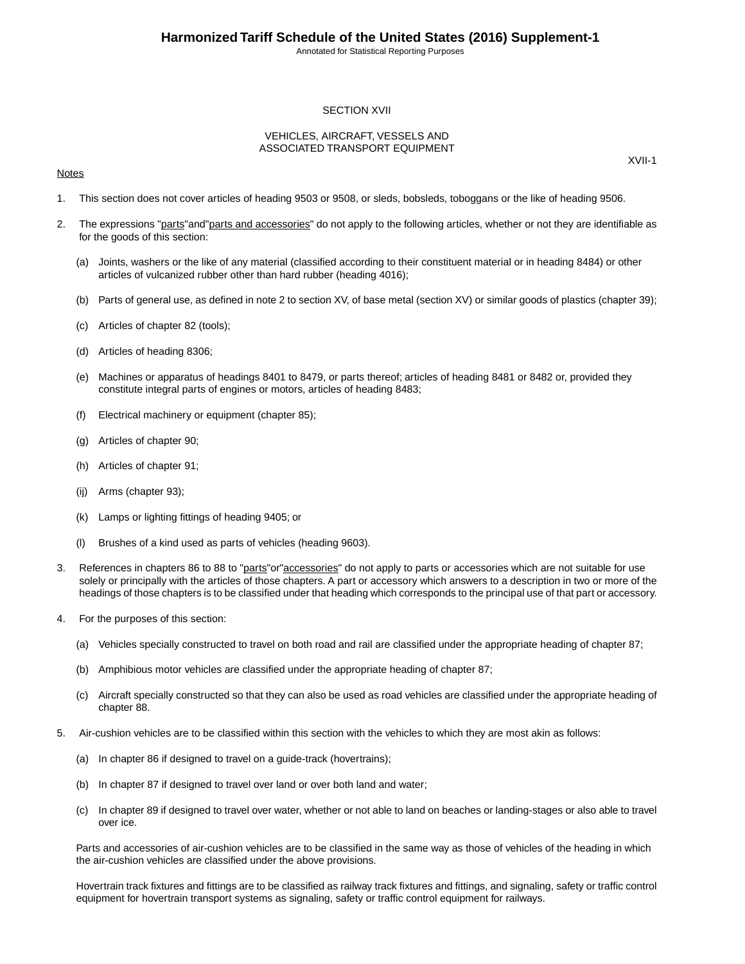Annotated for Statistical Reporting Purposes

## SECTION XVII

## VEHICLES, AIRCRAFT, VESSELS AND ASSOCIATED TRANSPORT EQUIPMENT

## **Notes**

XVII-1

- 1. This section does not cover articles of heading 9503 or 9508, or sleds, bobsleds, toboggans or the like of heading 9506.
- 2. The expressions "parts" and "parts and accessories" do not apply to the following articles, whether or not they are identifiable as for the goods of this section:
	- (a) Joints, washers or the like of any material (classified according to their constituent material or in heading 8484) or other articles of vulcanized rubber other than hard rubber (heading 4016);
	- (b) Parts of general use, as defined in note 2 to section XV, of base metal (section XV) or similar goods of plastics (chapter 39);
	- (c) Articles of chapter 82 (tools);
	- (d) Articles of heading 8306;
	- (e) Machines or apparatus of headings 8401 to 8479, or parts thereof; articles of heading 8481 or 8482 or, provided they constitute integral parts of engines or motors, articles of heading 8483;
	- (f) Electrical machinery or equipment (chapter 85);
	- (g) Articles of chapter 90;
	- (h) Articles of chapter 91;
	- (ij) Arms (chapter 93);
	- (k) Lamps or lighting fittings of heading 9405; or
	- (l) Brushes of a kind used as parts of vehicles (heading 9603).
- 3. References in chapters 86 to 88 to "parts"or"accessories" do not apply to parts or accessories which are not suitable for use solely or principally with the articles of those chapters. A part or accessory which answers to a description in two or more of the headings of those chapters is to be classified under that heading which corresponds to the principal use of that part or accessory.
- 4. For the purposes of this section:
	- (a) Vehicles specially constructed to travel on both road and rail are classified under the appropriate heading of chapter 87;
	- (b) Amphibious motor vehicles are classified under the appropriate heading of chapter 87;
	- (c) Aircraft specially constructed so that they can also be used as road vehicles are classified under the appropriate heading of chapter 88.
- 5. Air-cushion vehicles are to be classified within this section with the vehicles to which they are most akin as follows:
	- (a) In chapter 86 if designed to travel on a guide-track (hovertrains);
	- (b) In chapter 87 if designed to travel over land or over both land and water;
	- (c) In chapter 89 if designed to travel over water, whether or not able to land on beaches or landing-stages or also able to travel over ice.

Parts and accessories of air-cushion vehicles are to be classified in the same way as those of vehicles of the heading in which the air-cushion vehicles are classified under the above provisions.

Hovertrain track fixtures and fittings are to be classified as railway track fixtures and fittings, and signaling, safety or traffic control equipment for hovertrain transport systems as signaling, safety or traffic control equipment for railways.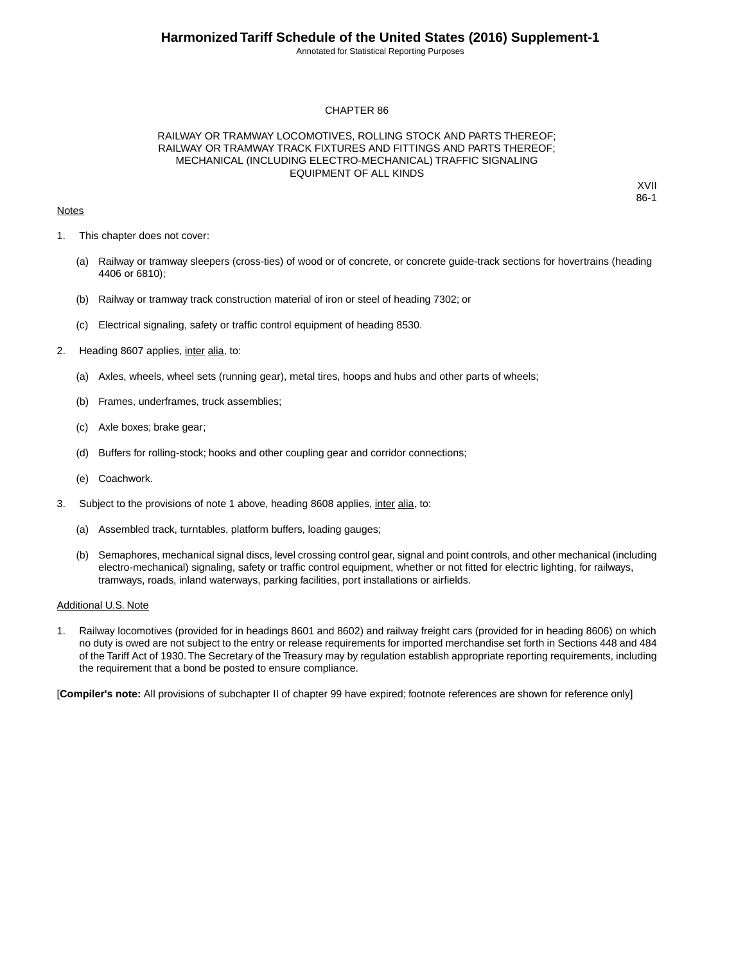Annotated for Statistical Reporting Purposes

## CHAPTER 86

## RAILWAY OR TRAMWAY LOCOMOTIVES, ROLLING STOCK AND PARTS THEREOF; RAILWAY OR TRAMWAY TRACK FIXTURES AND FITTINGS AND PARTS THEREOF; MECHANICAL (INCLUDING ELECTRO-MECHANICAL) TRAFFIC SIGNALING EQUIPMENT OF ALL KINDS

## **Notes**

XVII 86-1

- 1. This chapter does not cover:
	- (a) Railway or tramway sleepers (cross-ties) of wood or of concrete, or concrete guide-track sections for hovertrains (heading 4406 or 6810);
	- (b) Railway or tramway track construction material of iron or steel of heading 7302; or
	- (c) Electrical signaling, safety or traffic control equipment of heading 8530.
- 2. Heading 8607 applies, inter alia, to:
	- (a) Axles, wheels, wheel sets (running gear), metal tires, hoops and hubs and other parts of wheels;
	- (b) Frames, underframes, truck assemblies;
	- (c) Axle boxes; brake gear;
	- (d) Buffers for rolling-stock; hooks and other coupling gear and corridor connections;
	- (e) Coachwork.
- 3. Subject to the provisions of note 1 above, heading 8608 applies, inter alia, to:
	- (a) Assembled track, turntables, platform buffers, loading gauges;
	- (b) Semaphores, mechanical signal discs, level crossing control gear, signal and point controls, and other mechanical (including electro-mechanical) signaling, safety or traffic control equipment, whether or not fitted for electric lighting, for railways, tramways, roads, inland waterways, parking facilities, port installations or airfields.

#### Additional U.S. Note

1. Railway locomotives (provided for in headings 8601 and 8602) and railway freight cars (provided for in heading 8606) on which no duty is owed are not subject to the entry or release requirements for imported merchandise set forth in Sections 448 and 484 of the Tariff Act of 1930.The Secretary of the Treasury may by regulation establish appropriate reporting requirements, including the requirement that a bond be posted to ensure compliance.

[**Compiler's note:** All provisions of subchapter II of chapter 99 have expired; footnote references are shown for reference only]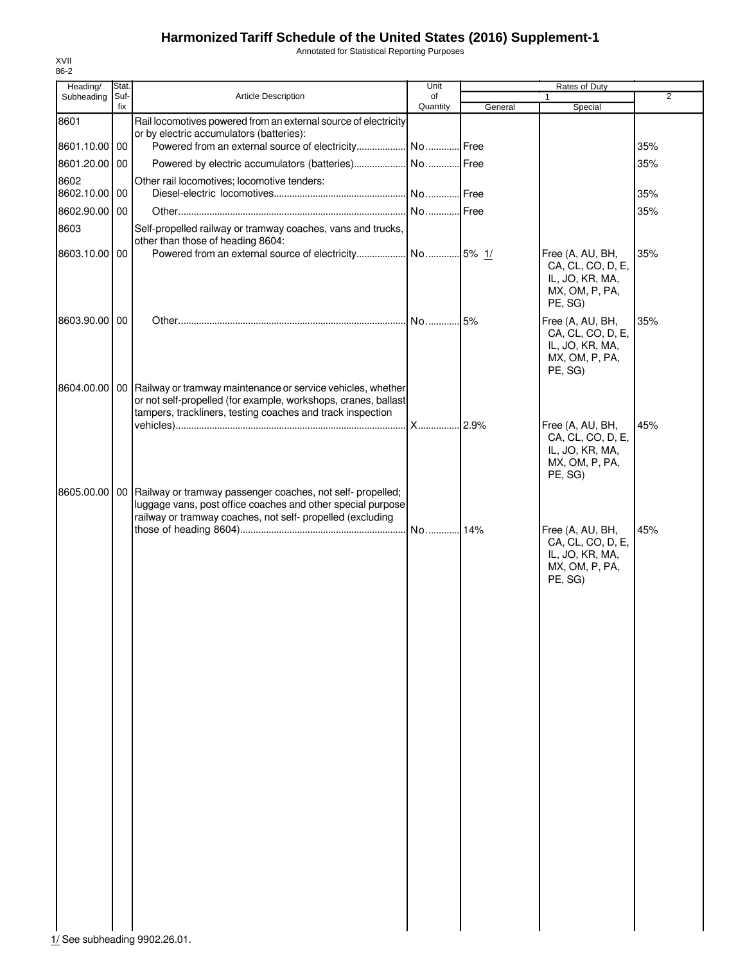Annotated for Statistical Reporting Purposes

| Heading/           | Stat.       |                                                                                                                                                                                                | Unit           |         |                                                                                       |                |
|--------------------|-------------|------------------------------------------------------------------------------------------------------------------------------------------------------------------------------------------------|----------------|---------|---------------------------------------------------------------------------------------|----------------|
| Subheading         | Suf-<br>fix | Article Description                                                                                                                                                                            | of<br>Quantity | General | $\mathbf{1}$<br>Special                                                               | $\overline{2}$ |
| 8601               |             | Rail locomotives powered from an external source of electricity<br>or by electric accumulators (batteries):                                                                                    |                |         |                                                                                       |                |
| 8601.10.00 00      |             |                                                                                                                                                                                                |                |         |                                                                                       | 35%            |
| 8601.20.00<br>8602 | 00          | Other rail locomotives; locomotive tenders:                                                                                                                                                    |                |         |                                                                                       | 35%            |
| 8602.10.00 00      |             |                                                                                                                                                                                                |                |         |                                                                                       | 35%            |
| 8602.90.00         | 00          |                                                                                                                                                                                                | No Free        |         |                                                                                       | 35%            |
| 8603               |             | Self-propelled railway or tramway coaches, vans and trucks,<br>other than those of heading 8604:                                                                                               |                |         |                                                                                       |                |
| 8603.10.00 00      |             |                                                                                                                                                                                                |                |         | Free (A, AU, BH,<br>CA, CL, CO, D, E,<br>IL, JO, KR, MA,<br>MX, OM, P, PA,<br>PE, SG) | 35%            |
| 8603.90.00 00      |             |                                                                                                                                                                                                | No15%          |         | Free (A, AU, BH,<br>CA, CL, CO, D, E,<br>IL, JO, KR, MA,<br>MX, OM, P, PA,<br>PE, SG) | 35%            |
| 8604.00.00         |             | 00 Railway or tramway maintenance or service vehicles, whether<br>or not self-propelled (for example, workshops, cranes, ballast<br>tampers, trackliners, testing coaches and track inspection |                |         |                                                                                       |                |
|                    |             |                                                                                                                                                                                                |                |         | Free (A, AU, BH,<br>CA, CL, CO, D, E,<br>IL, JO, KR, MA,<br>MX, OM, P, PA,<br>PE, SG) | 45%            |
| 8605.00.00         |             | 00 Railway or tramway passenger coaches, not self- propelled;<br>luggage vans, post office coaches and other special purpose<br>railway or tramway coaches, not self- propelled (excluding     |                |         | Free (A, AU, BH,                                                                      | 45%            |
|                    |             |                                                                                                                                                                                                |                |         | CA, CL, CO, D, E,<br>IL, JO, KR, MA,<br>MX, OM, P, PA,<br>PE, SG)                     |                |
|                    |             |                                                                                                                                                                                                |                |         |                                                                                       |                |
|                    |             |                                                                                                                                                                                                |                |         |                                                                                       |                |
|                    |             |                                                                                                                                                                                                |                |         |                                                                                       |                |
|                    |             |                                                                                                                                                                                                |                |         |                                                                                       |                |
|                    |             |                                                                                                                                                                                                |                |         |                                                                                       |                |
|                    |             |                                                                                                                                                                                                |                |         |                                                                                       |                |
|                    |             |                                                                                                                                                                                                |                |         |                                                                                       |                |
|                    |             |                                                                                                                                                                                                |                |         |                                                                                       |                |
|                    |             |                                                                                                                                                                                                |                |         |                                                                                       |                |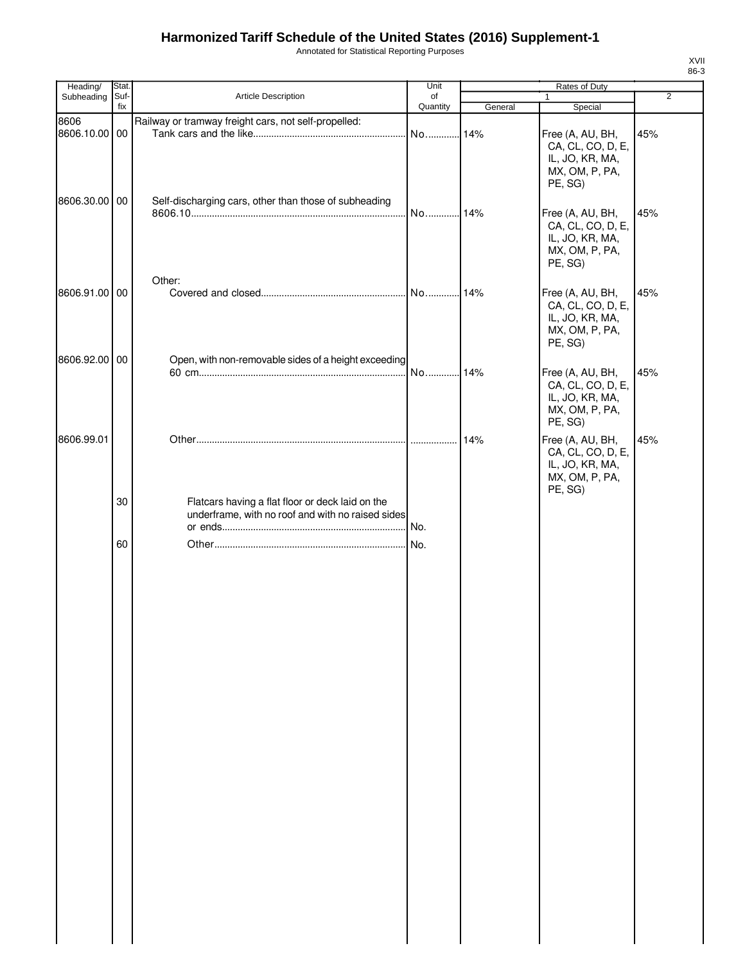Annotated for Statistical Reporting Purposes

| Heading/           | <b>Stat</b> |                                                                                                       | Unit     |         |                                                                                       |                |
|--------------------|-------------|-------------------------------------------------------------------------------------------------------|----------|---------|---------------------------------------------------------------------------------------|----------------|
| Subheading         | Suf-        | Article Description                                                                                   | of       |         | Rates of Duty<br>1                                                                    | $\overline{2}$ |
|                    | fix         |                                                                                                       | Quantity | General | Special                                                                               |                |
| 8606<br>8606.10.00 | 00          | Railway or tramway freight cars, not self-propelled:                                                  | No       | 14%     | Free (A, AU, BH,<br>CA, CL, CO, D, E,<br>IL, JO, KR, MA,<br>MX, OM, P, PA,<br>PE, SG) | 45%            |
| 8606.30.00 00      |             | Self-discharging cars, other than those of subheading<br>Other:                                       | No       | 14%     | Free (A, AU, BH,<br>CA, CL, CO, D, E,<br>IL, JO, KR, MA,<br>MX, OM, P, PA,<br>PE, SG) | 45%            |
| 8606.91.00 00      |             |                                                                                                       |          | 14%     | Free (A, AU, BH,<br>CA, CL, CO, D, E,<br>IL, JO, KR, MA,<br>MX, OM, P, PA,<br>PE, SG) | 45%            |
| 8606.92.00 00      |             | Open, with non-removable sides of a height exceeding                                                  | No       | 14%     | Free (A, AU, BH,<br>CA, CL, CO, D, E,<br>IL, JO, KR, MA,<br>MX, OM, P, PA,<br>PE, SG) | 45%            |
| 8606.99.01         |             |                                                                                                       |          | 14%     | Free (A, AU, BH,<br>CA, CL, CO, D, E,<br>IL, JO, KR, MA,<br>MX, OM, P, PA,<br>PE, SG) | 45%            |
|                    | 30          | Flatcars having a flat floor or deck laid on the<br>underframe, with no roof and with no raised sides |          |         |                                                                                       |                |
|                    | 60          |                                                                                                       |          |         |                                                                                       |                |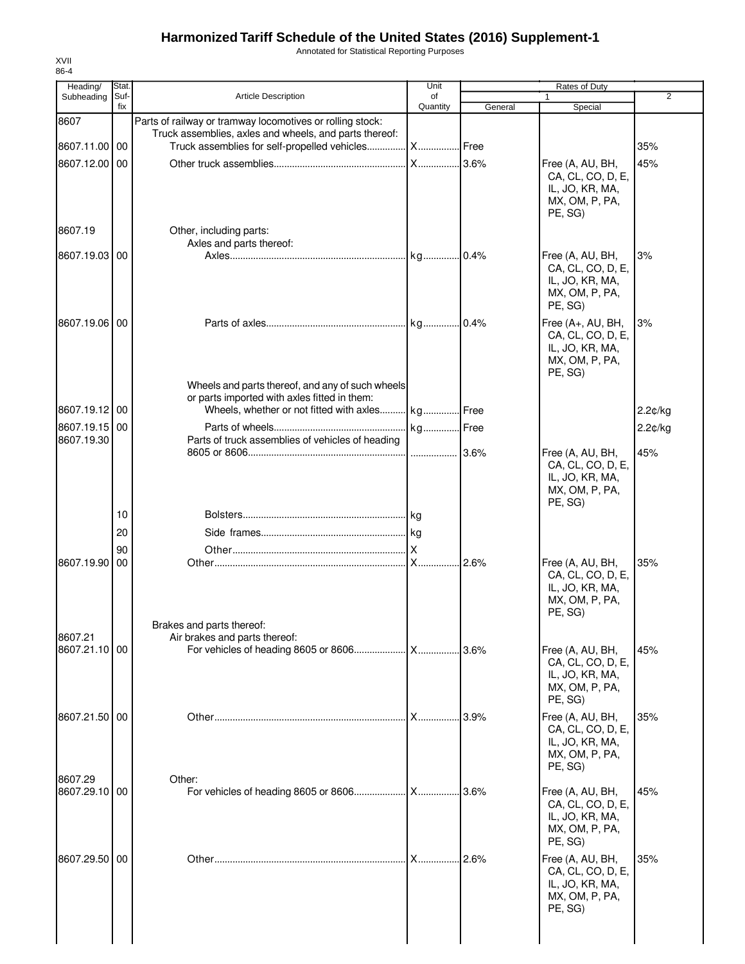Annotated for Statistical Reporting Purposes

| Heading/      | Stat. |                                                                                                                     | Unit          |         |                                       |                |
|---------------|-------|---------------------------------------------------------------------------------------------------------------------|---------------|---------|---------------------------------------|----------------|
| Subheading    | Suf-  | <b>Article Description</b>                                                                                          | of            |         | 1                                     | $\overline{2}$ |
|               | fix   |                                                                                                                     | Quantity      | General | Special                               |                |
| 8607          |       | Parts of railway or tramway locomotives or rolling stock:<br>Truck assemblies, axles and wheels, and parts thereof: |               |         |                                       |                |
| 8607.11.00 00 |       | Truck assemblies for self-propelled vehicles                                                                        | <b>X</b> Free |         |                                       | 35%            |
|               |       |                                                                                                                     |               |         |                                       |                |
| 8607.12.00 00 |       |                                                                                                                     |               |         | Free (A, AU, BH,<br>CA, CL, CO, D, E, | 45%            |
|               |       |                                                                                                                     |               |         | IL, JO, KR, MA,                       |                |
|               |       |                                                                                                                     |               |         | MX, OM, P, PA,                        |                |
|               |       |                                                                                                                     |               |         | PE, SG)                               |                |
| 8607.19       |       | Other, including parts:                                                                                             |               |         |                                       |                |
|               |       | Axles and parts thereof:                                                                                            |               |         |                                       |                |
| 8607.19.03 00 |       |                                                                                                                     |               |         | Free (A, AU, BH,                      | 3%             |
|               |       |                                                                                                                     |               |         | CA, CL, CO, D, E,                     |                |
|               |       |                                                                                                                     |               |         | IL, JO, KR, MA,                       |                |
|               |       |                                                                                                                     |               |         | MX, OM, P, PA,                        |                |
|               |       |                                                                                                                     |               |         | PE, SG)                               |                |
| 8607.19.06 00 |       |                                                                                                                     |               |         | Free (A+, AU, BH,                     | 3%             |
|               |       |                                                                                                                     |               |         | CA, CL, CO, D, E,                     |                |
|               |       |                                                                                                                     |               |         | IL, JO, KR, MA,<br>MX, OM, P, PA,     |                |
|               |       |                                                                                                                     |               |         | PE, SG)                               |                |
|               |       | Wheels and parts thereof, and any of such wheels                                                                    |               |         |                                       |                |
|               |       | or parts imported with axles fitted in them:                                                                        |               |         |                                       |                |
| 8607.19.12 00 |       | Wheels, whether or not fitted with axles                                                                            | kg Free       |         |                                       | 2.2¢/kg        |
| 8607.19.15 00 |       |                                                                                                                     | kg Free       |         |                                       | 2.2¢/kg        |
| 8607.19.30    |       | Parts of truck assemblies of vehicles of heading                                                                    |               |         |                                       |                |
|               |       |                                                                                                                     |               |         | Free (A, AU, BH,                      | 45%            |
|               |       |                                                                                                                     |               |         | CA, CL, CO, D, E,                     |                |
|               |       |                                                                                                                     |               |         | IL, JO, KR, MA,                       |                |
|               |       |                                                                                                                     |               |         | MX, OM, P, PA,                        |                |
|               | 10    |                                                                                                                     |               |         | PE, SG)                               |                |
|               |       |                                                                                                                     |               |         |                                       |                |
|               | 20    |                                                                                                                     |               |         |                                       |                |
|               | 90    |                                                                                                                     |               |         |                                       |                |
| 8607.19.90 00 |       |                                                                                                                     |               |         | Free (A, AU, BH,                      | 35%            |
|               |       |                                                                                                                     |               |         | CA, CL, CO, D, E,                     |                |
|               |       |                                                                                                                     |               |         | IL, JO, KR, MA,<br>MX, OM, P, PA,     |                |
|               |       |                                                                                                                     |               |         | PE, SG)                               |                |
|               |       | Brakes and parts thereof:                                                                                           |               |         |                                       |                |
| 8607.21       |       | Air brakes and parts thereof:                                                                                       |               |         |                                       |                |
| 8607.21.10 00 |       |                                                                                                                     |               |         | Free (A, AU, BH,                      | 45%            |
|               |       |                                                                                                                     |               |         | CA, CL, CO, D, E,                     |                |
|               |       |                                                                                                                     |               |         | IL, JO, KR, MA,                       |                |
|               |       |                                                                                                                     |               |         | MX, OM, P, PA,<br>PE, SG)             |                |
|               |       |                                                                                                                     |               |         |                                       |                |
| 8607.21.50 00 |       |                                                                                                                     | X             | 3.9%    | Free (A, AU, BH,                      | 35%            |
|               |       |                                                                                                                     |               |         | CA, CL, CO, D, E,<br>IL, JO, KR, MA,  |                |
|               |       |                                                                                                                     |               |         | MX, OM, P, PA,                        |                |
|               |       |                                                                                                                     |               |         | PE, SG)                               |                |
| 8607.29       |       | Other:                                                                                                              |               |         |                                       |                |
| 8607.29.10 00 |       |                                                                                                                     |               |         | Free (A, AU, BH,                      | 45%            |
|               |       |                                                                                                                     |               |         | CA, CL, CO, D, E,                     |                |
|               |       |                                                                                                                     |               |         | IL, JO, KR, MA,                       |                |
|               |       |                                                                                                                     |               |         | MX, OM, P, PA,                        |                |
|               |       |                                                                                                                     |               |         | PE, SG)                               |                |
| 8607.29.50 00 |       |                                                                                                                     | $X_{\cdots}$  | 2.6%    | Free (A, AU, BH,                      | 35%            |
|               |       |                                                                                                                     |               |         | CA, CL, CO, D, E,<br>IL, JO, KR, MA,  |                |
|               |       |                                                                                                                     |               |         | MX, OM, P, PA,                        |                |
|               |       |                                                                                                                     |               |         | PE, SG)                               |                |
|               |       |                                                                                                                     |               |         |                                       |                |
|               |       |                                                                                                                     |               |         |                                       |                |
|               |       |                                                                                                                     |               |         |                                       |                |